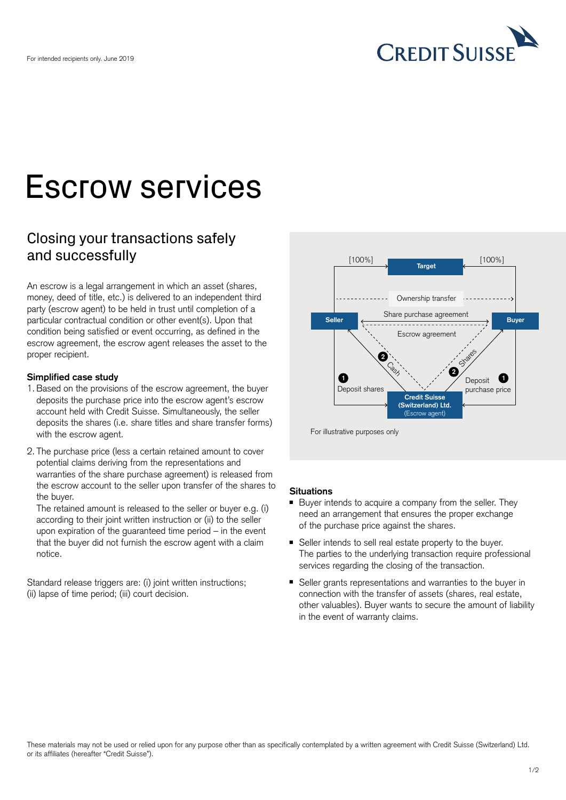

# Escrow services

# Closing your transactions safely and successfully

An escrow is a legal arrangement in which an asset (shares, money, deed of title, etc.) is delivered to an independent third party (escrow agent) to be held in trust until completion of a particular contractual condition or other event(s). Upon that condition being satisfied or event occurring, as defined in the escrow agreement, the escrow agent releases the asset to the proper recipient.

#### **Simplified case study**

- 1. Based on the provisions of the escrow agreement, the buyer deposits the purchase price into the escrow agent's escrow account held with Credit Suisse. Simultaneously, the seller deposits the shares (i.e. share titles and share transfer forms) with the escrow agent.
- 2. The purchase price (less a certain retained amount to cover potential claims deriving from the representations and warranties of the share purchase agreement) is released from the escrow account to the seller upon transfer of the shares to the buyer.

The retained amount is released to the seller or buyer e.g. (i) according to their joint written instruction or (ii) to the seller upon expiration of the guaranteed time period – in the event that the buyer did not furnish the escrow agent with a claim notice.

Standard release triggers are: (i) joint written instructions; (ii) lapse of time period; (iii) court decision.



For illustrative purposes only

#### **Situations**

- Buyer intends to acquire a company from the seller. They need an arrangement that ensures the proper exchange of the purchase price against the shares.
- Seller intends to sell real estate property to the buyer. The parties to the underlying transaction require professional services regarding the closing of the transaction.
- Seller grants representations and warranties to the buyer in connection with the transfer of assets (shares, real estate, other valuables). Buyer wants to secure the amount of liability in the event of warranty claims.